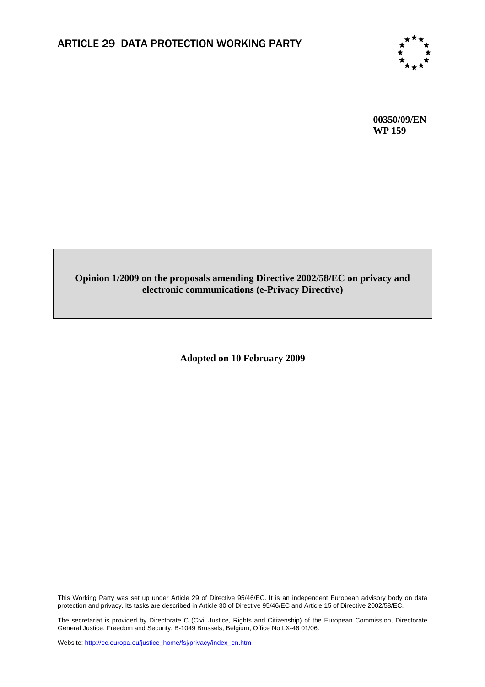

**00350/09/EN WP 159** 

## **Opinion 1/2009 on the proposals amending Directive 2002/58/EC on privacy and electronic communications (e-Privacy Directive)**

**Adopted on 10 February 2009** 

This Working Party was set up under Article 29 of Directive 95/46/EC. It is an independent European advisory body on data protection and privacy. Its tasks are described in Article 30 of Directive 95/46/EC and Article 15 of Directive 2002/58/EC.

The secretariat is provided by Directorate C (Civil Justice, Rights and Citizenship) of the European Commission, Directorate General Justice, Freedom and Security, B-1049 Brussels, Belgium, Office No LX-46 01/06.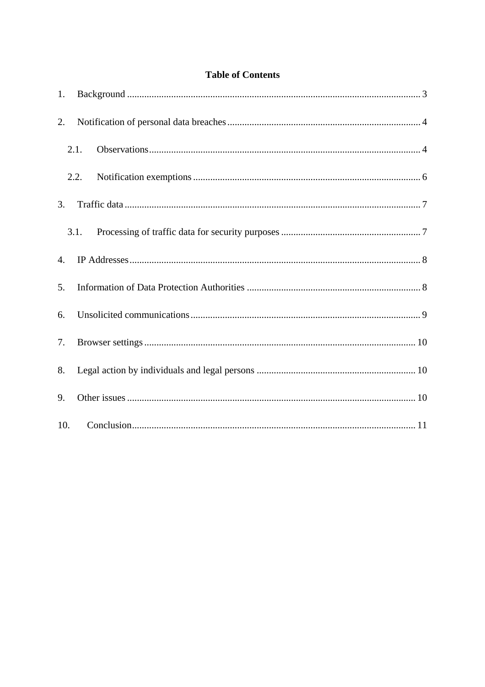## **Table of Contents**

| 1. |      |  |
|----|------|--|
| 2. |      |  |
|    | 2.1. |  |
|    | 2.2. |  |
| 3. |      |  |
|    | 3.1. |  |
| 4. |      |  |
| 5. |      |  |
| 6. |      |  |
| 7. |      |  |
| 8. |      |  |
| 9. |      |  |
|    |      |  |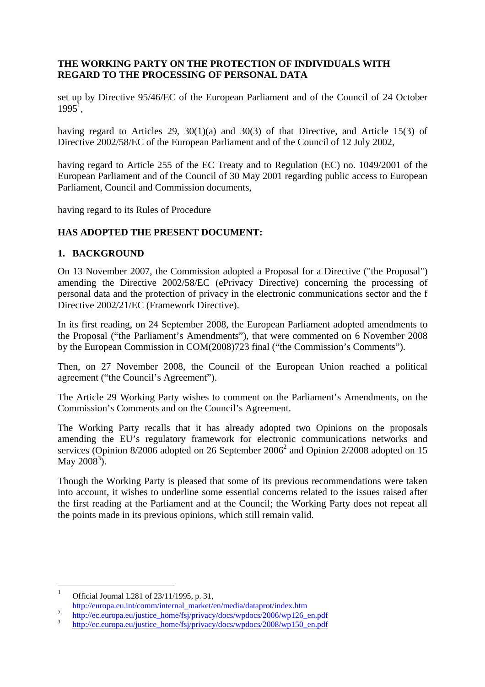## **THE WORKING PARTY ON THE PROTECTION OF INDIVIDUALS WITH REGARD TO THE PROCESSING OF PERSONAL DATA**

set up by Directive 95/46/EC of the European Parliament and of the Council of 24 October  $1995^1$ ,

having regard to Articles 29, 30(1)(a) and 30(3) of that Directive, and Article 15(3) of Directive 2002/58/EC of the European Parliament and of the Council of 12 July 2002,

having regard to Article 255 of the EC Treaty and to Regulation (EC) no. 1049/2001 of the European Parliament and of the Council of 30 May 2001 regarding public access to European Parliament, Council and Commission documents,

having regard to its Rules of Procedure

## <span id="page-2-0"></span>**HAS ADOPTED THE PRESENT DOCUMENT:**

#### **1. BACKGROUND**

On 13 November 2007, the Commission adopted a Proposal for a Directive ("the Proposal") amending the Directive 2002/58/EC (ePrivacy Directive) concerning the processing of personal data and the protection of privacy in the electronic communications sector and the f Directive 2002/21/EC (Framework Directive).

In its first reading, on 24 September 2008, the European Parliament adopted amendments to the Proposal ("the Parliament's Amendments"), that were commented on 6 November 2008 by the European Commission in COM(2008)723 final ("the Commission's Comments").

Then, on 27 November 2008, the Council of the European Union reached a political agreement ("the Council's Agreement").

The Article 29 Working Party wishes to comment on the Parliament's Amendments, on the Commission's Comments and on the Council's Agreement.

The Working Party recalls that it has already adopted two Opinions on the proposals amending the EU's regulatory framework for electronic communications networks and services (Opinion 8/2006 adopted on 26 September  $2006<sup>2</sup>$  and Opinion 2/2008 adopted on 15 May  $2008^3$ ).

Though the Working Party is pleased that some of its previous recommendations were taken into account, it wishes to underline some essential concerns related to the issues raised after the first reading at the Parliament and at the Council; the Working Party does not repeat all the points made in its previous opinions, which still remain valid.

 $\frac{1}{1}$ Official Journal L281 of 23/11/1995, p. 31,

http://europa.eu.int/comm/internal\_market/en/media/dataprot/index.htm <sup>2</sup>

 $\frac{h_{\text{t}}}{2}$  http://ec.europa.eu/justice\_home/fsj/privacy/docs/wpdocs/2006/wp126\_en.pdf

http://ec.europa.eu/justice\_home/fsj/privacy/docs/wpdocs/2008/wp150\_en.pdf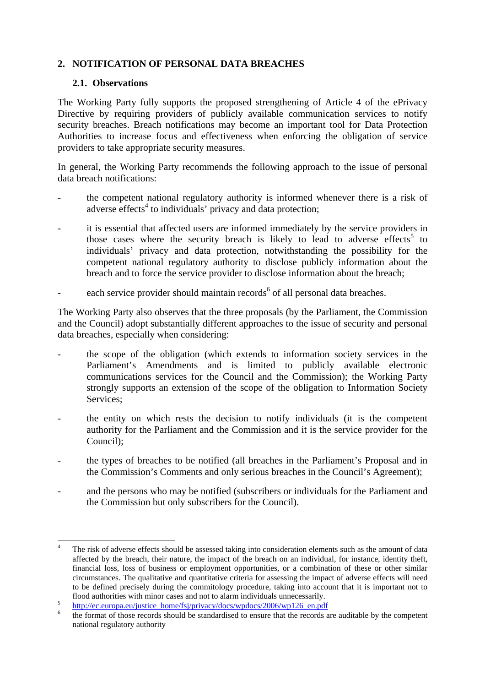## <span id="page-3-1"></span><span id="page-3-0"></span>**2. NOTIFICATION OF PERSONAL DATA BREACHES**

#### **2.1. Observations**

1

The Working Party fully supports the proposed strengthening of Article 4 of the ePrivacy Directive by requiring providers of publicly available communication services to notify security breaches. Breach notifications may become an important tool for Data Protection Authorities to increase focus and effectiveness when enforcing the obligation of service providers to take appropriate security measures.

In general, the Working Party recommends the following approach to the issue of personal data breach notifications:

- the competent national regulatory authority is informed whenever there is a risk of adverse effects<sup>4</sup> to individuals' privacy and data protection;
- it is essential that affected users are informed immediately by the service providers in those cases where the security breach is likely to lead to adverse effects<sup>5</sup> to individuals' privacy and data protection, notwithstanding the possibility for the competent national regulatory authority to disclose publicly information about the breach and to force the service provider to disclose information about the breach;
- each service provider should maintain records<sup>6</sup> of all personal data breaches.

The Working Party also observes that the three proposals (by the Parliament, the Commission and the Council) adopt substantially different approaches to the issue of security and personal data breaches, especially when considering:

- the scope of the obligation (which extends to information society services in the Parliament's Amendments and is limited to publicly available electronic communications services for the Council and the Commission); the Working Party strongly supports an extension of the scope of the obligation to Information Society Services;
- the entity on which rests the decision to notify individuals (it is the competent authority for the Parliament and the Commission and it is the service provider for the Council);
- the types of breaches to be notified (all breaches in the Parliament's Proposal and in the Commission's Comments and only serious breaches in the Council's Agreement);
- and the persons who may be notified (subscribers or individuals for the Parliament and the Commission but only subscribers for the Council).

<sup>4</sup> The risk of adverse effects should be assessed taking into consideration elements such as the amount of data affected by the breach, their nature, the impact of the breach on an individual, for instance, identity theft, financial loss, loss of business or employment opportunities, or a combination of these or other similar circumstances. The qualitative and quantitative criteria for assessing the impact of adverse effects will need to be defined precisely during the commitology procedure, taking into account that it is important not to flood authorities with minor cases and not to alarm individuals unnecessarily.

 $\frac{6}{100}$  http://ec.europa.eu/justice\_home/fsj/privacy/docs/wpdocs/2006/wp126\_en.pdf

the format of those records should be standardised to ensure that the records are auditable by the competent national regulatory authority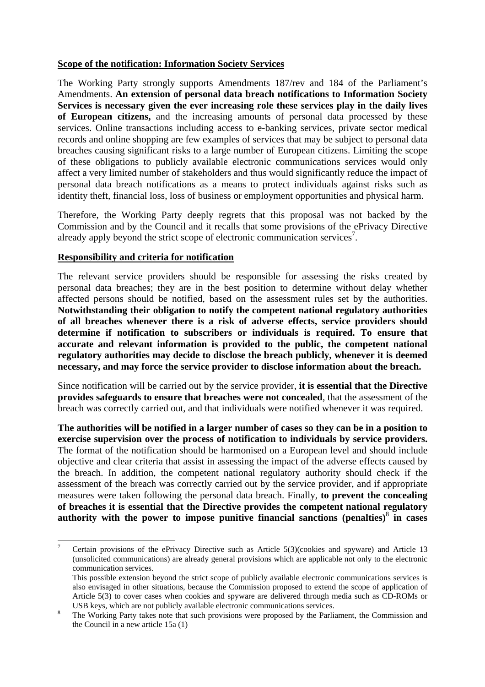### **Scope of the notification: Information Society Services**

The Working Party strongly supports Amendments 187/rev and 184 of the Parliament's Amendments. **An extension of personal data breach notifications to Information Society Services is necessary given the ever increasing role these services play in the daily lives of European citizens,** and the increasing amounts of personal data processed by these services. Online transactions including access to e-banking services, private sector medical records and online shopping are few examples of services that may be subject to personal data breaches causing significant risks to a large number of European citizens. Limiting the scope of these obligations to publicly available electronic communications services would only affect a very limited number of stakeholders and thus would significantly reduce the impact of personal data breach notifications as a means to protect individuals against risks such as identity theft, financial loss, loss of business or employment opportunities and physical harm.

Therefore, the Working Party deeply regrets that this proposal was not backed by the Commission and by the Council and it recalls that some provisions of the ePrivacy Directive already apply beyond the strict scope of electronic communication services<sup>7</sup>.

#### **Responsibility and criteria for notification**

1

The relevant service providers should be responsible for assessing the risks created by personal data breaches; they are in the best position to determine without delay whether affected persons should be notified, based on the assessment rules set by the authorities. **Notwithstanding their obligation to notify the competent national regulatory authorities of all breaches whenever there is a risk of adverse effects, service providers should determine if notification to subscribers or individuals is required. To ensure that accurate and relevant information is provided to the public, the competent national regulatory authorities may decide to disclose the breach publicly, whenever it is deemed necessary, and may force the service provider to disclose information about the breach.**

Since notification will be carried out by the service provider, **it is essential that the Directive provides safeguards to ensure that breaches were not concealed**, that the assessment of the breach was correctly carried out, and that individuals were notified whenever it was required.

**The authorities will be notified in a larger number of cases so they can be in a position to exercise supervision over the process of notification to individuals by service providers.** The format of the notification should be harmonised on a European level and should include objective and clear criteria that assist in assessing the impact of the adverse effects caused by the breach. In addition, the competent national regulatory authority should check if the assessment of the breach was correctly carried out by the service provider, and if appropriate measures were taken following the personal data breach. Finally, **to prevent the concealing of breaches it is essential that the Directive provides the competent national regulatory authority with the power to impose punitive financial sanctions (penalties)**<sup>8</sup>  **in cases** 

<sup>7</sup> Certain provisions of the ePrivacy Directive such as Article 5(3)(cookies and spyware) and Article 13 (unsolicited communications) are already general provisions which are applicable not only to the electronic communication services.

This possible extension beyond the strict scope of publicly available electronic communications services is also envisaged in other situations, because the Commission proposed to extend the scope of application of Article 5(3) to cover cases when cookies and spyware are delivered through media such as CD-ROMs or USB keys, which are not publicly available electronic communications services.

The Working Party takes note that such provisions were proposed by the Parliament, the Commission and the Council in a new article 15a (1)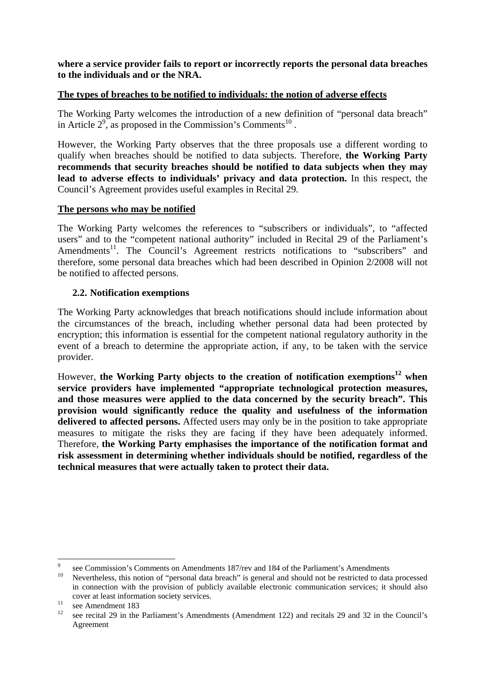**where a service provider fails to report or incorrectly reports the personal data breaches to the individuals and or the NRA.** 

#### **The types of breaches to be notified to individuals: the notion of adverse effects**

The Working Party welcomes the introduction of a new definition of "personal data breach" in Article  $2^9$ , as proposed in the Commission's Comments<sup>10</sup>.

However, the Working Party observes that the three proposals use a different wording to qualify when breaches should be notified to data subjects. Therefore, **the Working Party recommends that security breaches should be notified to data subjects when they may lead to adverse effects to individuals' privacy and data protection.** In this respect, the Council's Agreement provides useful examples in Recital 29.

#### **The persons who may be notified**

The Working Party welcomes the references to "subscribers or individuals", to "affected users" and to the "competent national authority" included in Recital 29 of the Parliament's Amendments<sup>11</sup>. The Council's Agreement restricts notifications to "subscribers" and therefore, some personal data breaches which had been described in Opinion 2/2008 will not be notified to affected persons.

## **2.2. Notification exemptions**

<span id="page-5-0"></span>The Working Party acknowledges that breach notifications should include information about the circumstances of the breach, including whether personal data had been protected by encryption; this information is essential for the competent national regulatory authority in the event of a breach to determine the appropriate action, if any, to be taken with the service provider.

However, **the Working Party objects to the creation of notification exemptions12 when service providers have implemented "appropriate technological protection measures, and those measures were applied to the data concerned by the security breach". This provision would significantly reduce the quality and usefulness of the information delivered to affected persons.** Affected users may only be in the position to take appropriate measures to mitigate the risks they are facing if they have been adequately informed. Therefore, **the Working Party emphasises the importance of the notification format and risk assessment in determining whether individuals should be notified, regardless of the technical measures that were actually taken to protect their data.** 

<sup>–&</sup>lt;br>9 see Commission's Comments on Amendments 187/rev and 184 of the Parliament's Amendments<br><sup>10</sup> Novembeloes, this notion of "personal data broach" is goneral and should not be restricted to date

<sup>10</sup> Nevertheless, this notion of "personal data breach" is general and should not be restricted to data processed in connection with the provision of publicly available electronic communication services; it should also cover at least information society services.<br>
see Amendment 183

see recital 29 in the Parliament's Amendments (Amendment 122) and recitals 29 and 32 in the Council's Agreement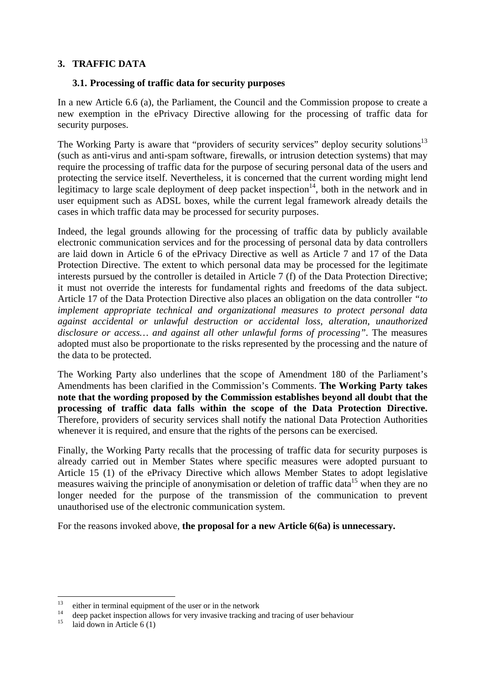## <span id="page-6-1"></span><span id="page-6-0"></span>**3. TRAFFIC DATA**

## **3.1. Processing of traffic data for security purposes**

In a new Article 6.6 (a), the Parliament, the Council and the Commission propose to create a new exemption in the ePrivacy Directive allowing for the processing of traffic data for security purposes.

The Working Party is aware that "providers of security services" deploy security solutions<sup>13</sup> (such as anti-virus and anti-spam software, firewalls, or intrusion detection systems) that may require the processing of traffic data for the purpose of securing personal data of the users and protecting the service itself. Nevertheless, it is concerned that the current wording might lend legitimacy to large scale deployment of deep packet inspection<sup>14</sup>, both in the network and in user equipment such as ADSL boxes, while the current legal framework already details the cases in which traffic data may be processed for security purposes.

Indeed, the legal grounds allowing for the processing of traffic data by publicly available electronic communication services and for the processing of personal data by data controllers are laid down in Article 6 of the ePrivacy Directive as well as Article 7 and 17 of the Data Protection Directive. The extent to which personal data may be processed for the legitimate interests pursued by the controller is detailed in Article 7 (f) of the Data Protection Directive; it must not override the interests for fundamental rights and freedoms of the data subject. Article 17 of the Data Protection Directive also places an obligation on the data controller *"to implement appropriate technical and organizational measures to protect personal data against accidental or unlawful destruction or accidental loss, alteration, unauthorized disclosure or access… and against all other unlawful forms of processing"*. The measures adopted must also be proportionate to the risks represented by the processing and the nature of the data to be protected.

The Working Party also underlines that the scope of Amendment 180 of the Parliament's Amendments has been clarified in the Commission's Comments. **The Working Party takes note that the wording proposed by the Commission establishes beyond all doubt that the processing of traffic data falls within the scope of the Data Protection Directive.** Therefore, providers of security services shall notify the national Data Protection Authorities whenever it is required, and ensure that the rights of the persons can be exercised.

Finally, the Working Party recalls that the processing of traffic data for security purposes is already carried out in Member States where specific measures were adopted pursuant to Article 15 (1) of the ePrivacy Directive which allows Member States to adopt legislative measures waiving the principle of anonymisation or deletion of traffic data<sup>15</sup> when they are no longer needed for the purpose of the transmission of the communication to prevent unauthorised use of the electronic communication system.

For the reasons invoked above, **the proposal for a new Article 6(6a) is unnecessary.** 

 $13$ <sup>13</sup> either in terminal equipment of the user or in the network

<sup>&</sup>lt;sup>14</sup> deep packet inspection allows for very invasive tracking and tracing of user behaviour

laid down in Article  $6(1)$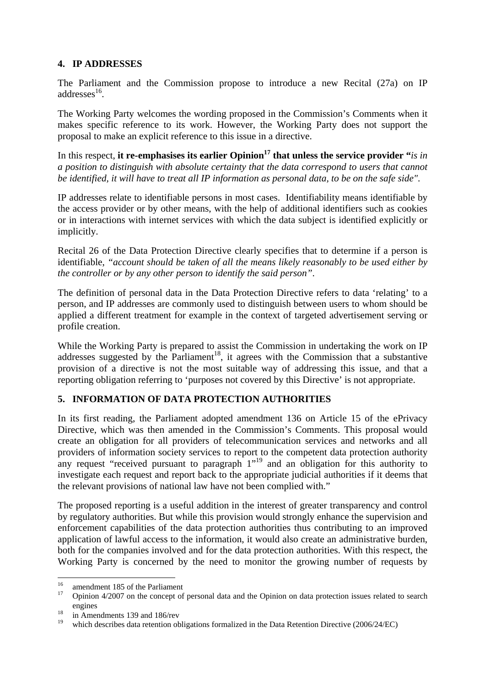## <span id="page-7-0"></span>**4. IP ADDRESSES**

The Parliament and the Commission propose to introduce a new Recital (27a) on IP addresses $^{16}$ .

The Working Party welcomes the wording proposed in the Commission's Comments when it makes specific reference to its work. However, the Working Party does not support the proposal to make an explicit reference to this issue in a directive.

In this respect, it re-emphasises its earlier Opinion<sup>17</sup> that unless the service provider "*is in a position to distinguish with absolute certainty that the data correspond to users that cannot be identified, it will have to treat all IP information as personal data, to be on the safe side"*.

IP addresses relate to identifiable persons in most cases. Identifiability means identifiable by the access provider or by other means, with the help of additional identifiers such as cookies or in interactions with internet services with which the data subject is identified explicitly or implicitly.

Recital 26 of the Data Protection Directive clearly specifies that to determine if a person is identifiable, *"account should be taken of all the means likely reasonably to be used either by the controller or by any other person to identify the said person"*.

The definition of personal data in the Data Protection Directive refers to data 'relating' to a person, and IP addresses are commonly used to distinguish between users to whom should be applied a different treatment for example in the context of targeted advertisement serving or profile creation.

While the Working Party is prepared to assist the Commission in undertaking the work on IP addresses suggested by the Parliament<sup>18</sup>, it agrees with the Commission that a substantive provision of a directive is not the most suitable way of addressing this issue, and that a reporting obligation referring to 'purposes not covered by this Directive' is not appropriate.

# <span id="page-7-1"></span>**5. INFORMATION OF DATA PROTECTION AUTHORITIES**

In its first reading, the Parliament adopted amendment 136 on Article 15 of the ePrivacy Directive, which was then amended in the Commission's Comments. This proposal would create an obligation for all providers of telecommunication services and networks and all providers of information society services to report to the competent data protection authority any request "received pursuant to paragraph  $1^{1,19}$  and an obligation for this authority to investigate each request and report back to the appropriate judicial authorities if it deems that the relevant provisions of national law have not been complied with."

The proposed reporting is a useful addition in the interest of greater transparency and control by regulatory authorities. But while this provision would strongly enhance the supervision and enforcement capabilities of the data protection authorities thus contributing to an improved application of lawful access to the information, it would also create an administrative burden, both for the companies involved and for the data protection authorities. With this respect, the Working Party is concerned by the need to monitor the growing number of requests by

<sup>16</sup> <sup>16</sup> amendment 185 of the Parliament

<sup>17</sup> Opinion 4/2007 on the concept of personal data and the Opinion on data protection issues related to search engines<br>
<sup>18</sup> in Amendments 139 and 186/rev

which describes data retention obligations formalized in the Data Retention Directive (2006/24/EC)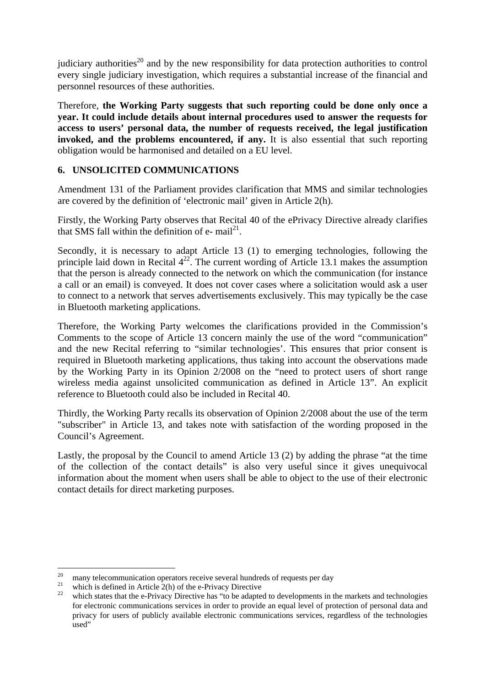judiciary authorities<sup>20</sup> and by the new responsibility for data protection authorities to control every single judiciary investigation, which requires a substantial increase of the financial and personnel resources of these authorities.

Therefore, **the Working Party suggests that such reporting could be done only once a year. It could include details about internal procedures used to answer the requests for access to users' personal data, the number of requests received, the legal justification invoked, and the problems encountered, if any.** It is also essential that such reporting obligation would be harmonised and detailed on a EU level.

## <span id="page-8-0"></span>**6. UNSOLICITED COMMUNICATIONS**

Amendment 131 of the Parliament provides clarification that MMS and similar technologies are covered by the definition of 'electronic mail' given in Article 2(h).

Firstly, the Working Party observes that Recital 40 of the ePrivacy Directive already clarifies that SMS fall within the definition of  $e$ - mail<sup>21</sup>.

Secondly, it is necessary to adapt Article 13 (1) to emerging technologies, following the principle laid down in Recital  $4^{22}$ . The current wording of Article 13.1 makes the assumption that the person is already connected to the network on which the communication (for instance a call or an email) is conveyed. It does not cover cases where a solicitation would ask a user to connect to a network that serves advertisements exclusively. This may typically be the case in Bluetooth marketing applications.

Therefore, the Working Party welcomes the clarifications provided in the Commission's Comments to the scope of Article 13 concern mainly the use of the word "communication" and the new Recital referring to "similar technologies'. This ensures that prior consent is required in Bluetooth marketing applications, thus taking into account the observations made by the Working Party in its Opinion 2/2008 on the "need to protect users of short range wireless media against unsolicited communication as defined in Article 13". An explicit reference to Bluetooth could also be included in Recital 40.

Thirdly, the Working Party recalls its observation of Opinion 2/2008 about the use of the term "subscriber" in Article 13, and takes note with satisfaction of the wording proposed in the Council's Agreement.

Lastly, the proposal by the Council to amend Article 13 (2) by adding the phrase "at the time of the collection of the contact details" is also very useful since it gives unequivocal information about the moment when users shall be able to object to the use of their electronic contact details for direct marketing purposes.

<sup>20</sup> 

<sup>&</sup>lt;sup>20</sup> many telecommunication operators receive several hundreds of requests per day<br><sup>21</sup> which is defined in Article 2(h) of the e-Privacy Directive<br><sup>22</sup> which states that the e-Privacy Directive has "to be adapted to deve for electronic communications services in order to provide an equal level of protection of personal data and privacy for users of publicly available electronic communications services, regardless of the technologies used"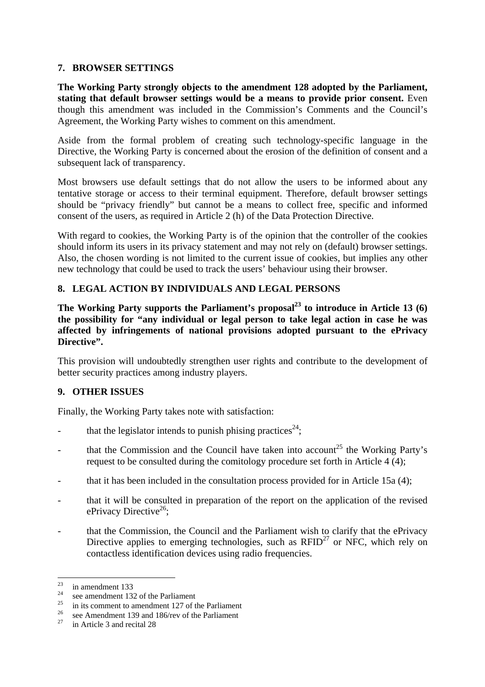#### **7. BROWSER SETTINGS**

**The Working Party strongly objects to the amendment 128 adopted by the Parliament, stating that default browser settings would be a means to provide prior consent.** Even though this amendment was included in the Commission's Comments and the Council's Agreement, the Working Party wishes to comment on this amendment.

Aside from the formal problem of creating such technology-specific language in the Directive, the Working Party is concerned about the erosion of the definition of consent and a subsequent lack of transparency.

Most browsers use default settings that do not allow the users to be informed about any tentative storage or access to their terminal equipment. Therefore, default browser settings should be "privacy friendly" but cannot be a means to collect free, specific and informed consent of the users, as required in Article 2 (h) of the Data Protection Directive.

With regard to cookies, the Working Party is of the opinion that the controller of the cookies should inform its users in its privacy statement and may not rely on (default) browser settings. Also, the chosen wording is not limited to the current issue of cookies, but implies any other new technology that could be used to track the users' behaviour using their browser.

#### <span id="page-9-1"></span>**8. LEGAL ACTION BY INDIVIDUALS AND LEGAL PERSONS**

The Working Party supports the Parliament's proposal<sup>23</sup> to introduce in Article 13 (6) **the possibility for "any individual or legal person to take legal action in case he was affected by infringements of national provisions adopted pursuant to the ePrivacy**  Directive".

This provision will undoubtedly strengthen user rights and contribute to the development of better security practices among industry players.

## <span id="page-9-2"></span>**9. OTHER ISSUES**

Finally, the Working Party takes note with satisfaction:

- that the legislator intends to punish phising practices<sup>24</sup>;
- that the Commission and the Council have taken into account<sup>25</sup> the Working Party's request to be consulted during the comitology procedure set forth in Article 4 (4);
- that it has been included in the consultation process provided for in Article 15a (4);
- <span id="page-9-0"></span>- that it will be consulted in preparation of the report on the application of the revised ePrivacy Directive<sup>26</sup>:
- that the Commission, the Council and the Parliament wish to clarify that the ePrivacy Directive applies to emerging technologies, such as  $RFID^{27}$  or NFC, which rely on contactless identification devices using radio frequencies.

 $23$  $\frac{23}{24}$  in amendment 133

<sup>&</sup>lt;sup>24</sup> see amendment 132 of the Parliament

<sup>&</sup>lt;sup>25</sup> in its comment to amendment 127 of the Parliament

<sup>&</sup>lt;sup>26</sup> see Amendment 139 and 186/rev of the Parliament

in Article 3 and recital 28